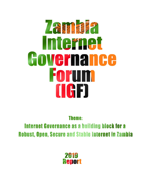# 人名多尔曼 **Internet** Governance orum **UGE**

**Theme:** 

**Internet Governance as a building block for a Robust, Open, Secure and Stable Internet in Zambia** 

> 2215 **Report**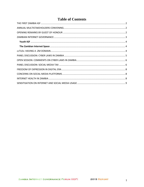## **Table of Contents**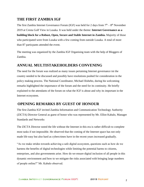## <span id="page-2-0"></span>**THE FIRST ZAMBIA IGF**

The first Zambia Internet Governance Forum (IGF) was held for 2 days from  $7<sup>th</sup> - 8<sup>th</sup>$  November 2019 at Cresta Golf View in Lusaka. It was held under the theme: **Internet Governance as a building block for a Robust, Open, Secure and Stable Internet in Zambia.** Majority of those who participated were from Lusaka with a few coming from outside Lusaka. A total of more than 87 particpants attended the event.

The meeting was organized by the Zambia IGF Organising team with the help of Bloggers of Zambia.

## <span id="page-2-1"></span>**ANNUAL MULTISTAKEHOLDERS CONVENING**

The need for the forum was realized as many issues pertaining Internet governance ini the country needed to be discussed and possibly have resolutions pushed for consideration in the policy making process. The National Coordinator, Michael Ilishebo, during his welcoming remarks highlighted the importance of the forum and the need for its continuity. He briefly explained to the attendants of the forum on what the IGF is about and why its important in the Internet ecosystem.

## <span id="page-2-2"></span>**OPENING REMARKS BY GUEST OF HONOUR**

The first Zambia IGF invited Zambia Information and Communication Technology Authority (ZICTA) Director General as guest of honor who was represented by Mr. Elliot Kabalo, Manager Standards and Networks

The ZICTA Director noted the life without the Internet in this era is rather difficult to complete most tasks if not impossible. He observed that the coming of the Internet space has not only made life easy but also hard as cybercrimes have in the recent years increased gradually.

"As we make strides towards achieving a safe digital ecosystem, questions such as how do we harness the benefits of digital technologies while limiting the potential harms to citizens, enterprises, and also governments arise. How do we ensure digital inclusion of all people in this dynamic environment and how to we mitigate the risks associated with bringing large numbers of people online?" Mr. Kabalo observed.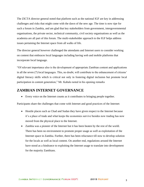The ZICTA director general noted that platform such as the national IGF are key in addressing challenges and risks that might come with the dawn of the new age. The time is now ripe for such a forum in Zambia, and am glad that key stakeholders from government, intergovernmental organisations, the private sector, technical community, civil society organisations as well as the academia are all part of this forum. The multi-stakeholder approach to the IGF helps address issues pertaining the Internet space from all walks of life.

The director general however challenged the attendants and Internet users to consider working on content that embraces local languages including having web and mobile platforms that incorporate local language.

"Of relevant importance also is the development of appropriate Zambian content and applications in all the seven (7) local languages. This, no doubt, will contribute to the enhancement of citizens' digital literacy skills which is critical not only in fostering digital inclusion but promote local participation in content generation," Mr. Kabalo noted in his opening remarks

#### <span id="page-3-0"></span>**ZAMBIAN INTERNET GOVERNANCE**

• Every voice on the Internet counts as it contributes to bringing people together.

Participants share the challenges that come with Internet and good practices of the Internet:

- Hostile places such as Chad and Sudan they have given respect to the Internet because it's a place of trade and what keeps the economies survive besides now trading has now moved from the physical place to the Internet.
- Zambia was a pioneer of the Internet but it has been beaten by the rest of the world. There has been no environment to promote proper usage as well as exploitation of the Internet space in Zambia. Further, there has been reluctance till now to develop solution for the locals as well as local content. On another end, regulations around the Internet have stood as a hindrance to exploiting the Internet usage to translate into development for the majority Zambians.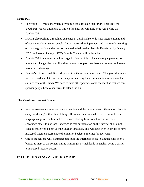#### <span id="page-4-0"></span>**Youth IGF**

- The youth IGF meets the voices of young people through this forum. This year, the Youth IGF couldn't hold due to limited funding, but will hold next year before the Zambia IGF
- ISOC is also pushing through its existence in Zambia also to do with Internet issues and of course involving young people. It was approved in September and is currently working on local registration and other documentation before their launch. Hopefully, by January 2020 the Internet Society (ISOC) Zambia Chapter will be launched.
- Zambia IGF is a nonprofit making organization but it is a place where people meet to interact, exchange Ideas and find the common group on how best we can use the Internet to our best advantages.
- Zambia's IGF sustainability is dependent on the resources available. This year, the funds were released a bit late due to the delay in finalizing the documentation to facilitate the early release of the funds. We hope to have other partners come on board so that we can sponsor people from other towns to attend the IGF

#### <span id="page-4-1"></span>**The Zambian Internet Space**

- Internet governance involves content creation and the Internet now is the market place for everyone dealing with different things. However, there is need for us to promote local language usage on the Internet. This means starting from social media, we must encourage others to use local language so that participation on the Internet should not exclude those who do not use the English language. This will help even in strides to have increased Internet access under the Internet Society's Internet for everyone.
- One of the reasons why Zambians don't use the Internet is because language has been a barrier as most of the content online is in English which leads to English being a barrier to increased Internet access.

## <span id="page-4-2"></span>**ccTLDs: HAVING A .ZM DOMAIN**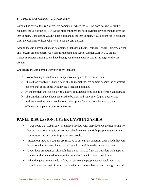#### *By Christina Chibesakunda – ZICTA Engineer*

Zambia has over 5, 000 registered .zm domains of which the ZICTA does not register rather regulates the use of the ccTLD. At the moment, there are no individual developers that offer the .zm domain. Considering ZICTA does not manage the .zm domain, it gave room for telecoms to offer the domains to those who wish to use the .zm domain.

Among the .zm domains that can be obtained include; .edu.zm, .com.zm, .co.zm, .biz.zm, .ac.zm and .org.zm among others. As it stands, telecoms like Airtel, Zamtel, ZAMNET, Liquid Telecom, Paratus among others have been given the mandate by ZICTA to register the .zm domain.

Challenges the .zm domain currently faces include;

- $\triangleright$  Cost of having a .zm domain is expensive compared to a .com domain.
- $\triangleright$  The authority (ZICTA) hasn't been able to market the .zm domain despite the enormous benefits that could come with having a localised domain.
- $\triangleright$  At the moment there is no law that allows individuals to be able to offer the .zm domain.
- $\triangleright$  The .zm domain have been observed to be slow and sometimes lag on updates and performance thus many people/companies opting for .com domains due to their efficiency compared to the .zm websites.

## <span id="page-5-0"></span>**PANEL DISCUSSION: CYBER LAWS IN ZAMBIA**

- It was noted that Cyber Laws are indeed needed, with these laws we are not saying **no** but what we are saying is government should consult the right people, organizations, committees and any other important key people.
- Instead our laws as a country are reactive to our current situation; after which they will be of no value; we need laws that will stand taste of time when we make them.
- Cyber laws are required, although they do not have to fight the outsiders with apps or content, rather we need to harmonies our cyber law with international laws.
- What the government needs to do is to sensitize the people about social media and should never get tired of doing that considering life revolves around the digital world.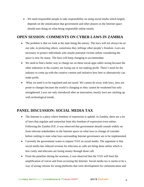• We need responsible people to take responsibility on using social media which largely depends on the sensitization that government and other players in the Internet space should start doing on what being responsible online entails.

## <span id="page-6-0"></span>**OPEN SESSION: COMMENTS ON CYBER LAWS IN ZAMBIA**

- The problem is that we look at the state being the enemy. The laws will not always be on our side, in protecting others, sometimes they infringe other people's freedom. Laws are necessary to protect individuals who maybe potential victims online considering the space is new for many. The laws will keep changing to accommodate
- We need to find a better way to charge tax on these social apps rather taxing because the other industries in the country are losing out or not making profit. There's need for the industry to come up with the creative content and initiative how best or alternatively can make profit.
- What we need is to be regulated and not taxed. We cannot do away with laws, laws are prone to changes because the world is changing so they cannot be weakened but only strengthened. Laws are only introduced after an innovation, mostly laws are catching up with technological trends.

## <span id="page-6-1"></span>**PANEL DISCUSSION: SOCIAL MEDIA TAX**

- The Internet is a place where freedom of expression is upheld. In Zambia, there are a lot of laws that regulate and somewhat limit this freedom of expression even online. Following the Zambia IGF, it was observed that government should consult widely on from relevant stakeholders in the Internet space on what laws to change of consider before rushing to state what laws surrounding Internet governance are to be implemented.
- Currently the government wants to impose TAX on social media. The argument is that social media has reduced revenue for telecoms as calls are being done online which is less costly and telecoms are losing money through those call.
- From the panelists during the sessions, it was observed that the TAX will limit the amplification of voices and from accessing the Internet. Social media tax is seems to be a way of taxing citizens for using platforms that were development for communication and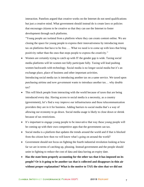interaction. Panelists argued that creative works on the Internet do not need qualifications but just a creative mind. What government should instead do is create laws or policies that encourage citizens to be creative so that they can use the Internet to foster development through such platforms.

"Young people are isolated from a platform where they can create content online. We are closing the space for young people to express their innovativeness by introducing more tax on platforms that have to be free….. What we need is to come up with laws that bring positivity rather than the ones that stops people to express the creativity."

- Women are certainly trying to catch up with IT the gender gap is wide. Taxing social media platforms will let women not fully participate fully. Taxing will lead pushing women backwards with technology. Social media is no longer social media but it's an exchange place, place of business and other important activities. Introducing social media tax is introducing another tax on a same service. We taxed upon purchasing airtime and now government wants to introduce another tax… why double tax?
- This will block people from interacting with the world because of taxes that are being introduced every day. Having access to social media is a necessity, as a country (government), let's find a way improve our infrastructures and these telecommunication providers they are in it for business. Adding barriers to social media that's a way of allowing our economy to go down. Social media usage is likely to close down or shrink because of tax restrictions.
- It's important to engage young people to be innovative that way these young people will be coming up with their own competitive apps that the government can tax.
- Social media is a platform that updates the trends around the world and if that is blocked from the citizen how then we will know what's going on around the world?
- Government should not focus on fighting the fourth industrial revolution looking at how far we are in terms of catching up, pleasing. Instead government and the people should unite in fighting to reduce the cost of data and data having an expiry date.
- **Has the state been properly accounting for the other tax that it has imposed on its people? Or is it going to be another tax that is collected and disappears in thin air without proper explanation? What is the motive to TAX the sites that we did not**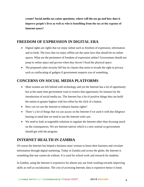**create? Social media tax raises questions; where will the tax go and how does it improve people's lives as well as who is benefiting from the tax at the expense of Internet users?** 

#### <span id="page-8-0"></span>**FREEDOM OF EXPRESSION IN DIGITAL ERA**

- Digital rights are rights that we enjoy online such as freedom of expression, information and so forth. The laws that we enjoy offline are the same laws that should be on online spaces. What are the perimeters of freedom of expression online? Government should not jump to online space and govern when they haven't fixed the physical space.
- The proposed cyber security bill has its clauses that seem to invade the right to privacy such as confiscating of gadgets if government suspects you of something.

## <span id="page-8-1"></span>**CONCERNS ON SOCIAL MEDIA PLATFORMS**

- Most women are left behind with technology and yet the Internet has a lot of opportunity but at the same time government want to restrict that opportunity for instance by the introduction of social media tax. The Internet has a lot of positive things that can build the nation to greater highest with less effort by the click of a button.
- How can we use the Internet to enhance human rights?
- There's a lot of things that we can access on the Internet if we used it with due diligence bearing in mind that we need to use the Internet with care.
- We need to look at targetable solutions to regulate the Internet other than focusing much on the consequences. We are Internet natives which is a new normal so government should get with the program.

## <span id="page-8-2"></span>**INTERNET HEALTH IN ZAMBIA**

Of course the Internet has helped a business man/ woman to boost their business and circulate information through digital marketing. Today in Zambia and across the globe, the Internet is something that one cannot do without. It is used for school work and research for students.

In Zambia, using the Internet is expressive for almost any use from working towards improving skills as well as socialization. The cost of accessing Internet; data is expensive hence it limits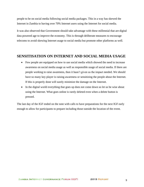people to be on social media following social media packages. This in a way has skewed the Internet in Zambia to having over 70% Internet users using the Internet for social media.

It was also observed that Government should take advantage with these millennial that are digital data powered age to improve the economy. This is through deliberate measures to encourage telecoms to avoid skewing Internet usage to social media but promote other platforms as well.

### <span id="page-9-0"></span>**SENSITISATION ON INTERNET AND SOCIAL MEDIA USAGE**

- Few people are equipped on how to use social media which showed the need to increase awareness on social media usage as well as responsible usage of social media. If there are people working to raise awareness, then it hasn't given us the impact needed. We should have so many key player is raising awareness or sensitizing the people about the Internet. If this is properly done will surely minimize the damage on the Internet.
- In the digital world everything that goes up does not come down so let us be wise about using the Internet. What goes online is rarely deleted even when a delete button is pressed.

The last day of the IGF ended on the note with calls to have preparations for the next IGF early enough to allow for participants to prepare including those outside the location of the event.